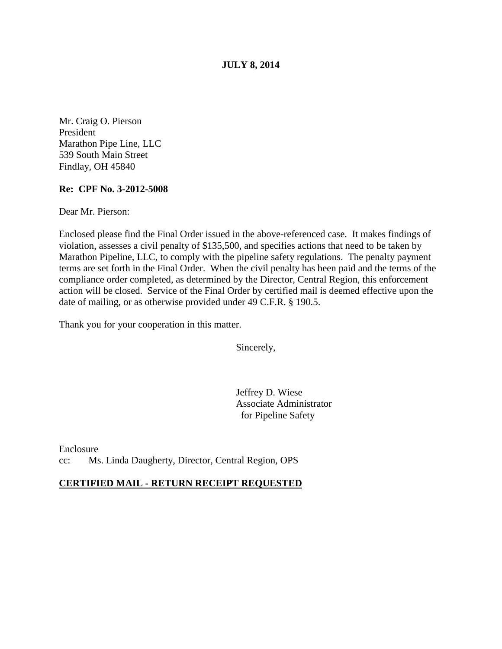**JULY 8, 2014** 

Mr. Craig O. Pierson President Marathon Pipe Line, LLC 539 South Main Street Findlay, OH 45840

### **Re: CPF No. 3-2012-5008**

Dear Mr. Pierson:

Enclosed please find the Final Order issued in the above-referenced case. It makes findings of violation, assesses a civil penalty of \$135,500, and specifies actions that need to be taken by Marathon Pipeline, LLC, to comply with the pipeline safety regulations. The penalty payment terms are set forth in the Final Order. When the civil penalty has been paid and the terms of the compliance order completed, as determined by the Director, Central Region, this enforcement action will be closed. Service of the Final Order by certified mail is deemed effective upon the date of mailing, or as otherwise provided under 49 C.F.R. § 190.5.

Thank you for your cooperation in this matter.

Sincerely,

Jeffrey D. Wiese Associate Administrator for Pipeline Safety

Enclosure cc: Ms. Linda Daugherty, Director, Central Region, OPS

### **CERTIFIED MAIL - RETURN RECEIPT REQUESTED**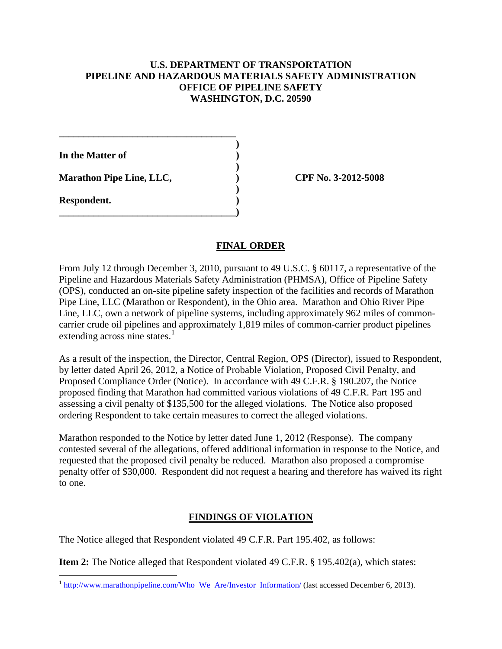### **U.S. DEPARTMENT OF TRANSPORTATION PIPELINE AND HAZARDOUS MATERIALS SAFETY ADMINISTRATION OFFICE OF PIPELINE SAFETY WASHINGTON, D.C. 20590**

 **) In the Matter of ) ) Marathon Pipe Line, LLC, ) CPF No. 3-2012-5008 ) Respondent. ) \_\_\_\_\_\_\_\_\_\_\_\_\_\_\_\_\_\_\_\_\_\_\_\_\_\_\_\_\_\_\_\_\_\_\_\_)** 

**\_\_\_\_\_\_\_\_\_\_\_\_\_\_\_\_\_\_\_\_\_\_\_\_\_\_\_\_\_\_\_\_\_\_\_\_** 

### **FINAL ORDER**

From July 12 through December 3, 2010, pursuant to 49 U.S.C. § 60117, a representative of the Pipeline and Hazardous Materials Safety Administration (PHMSA), Office of Pipeline Safety (OPS), conducted an on-site pipeline safety inspection of the facilities and records of Marathon Pipe Line, LLC (Marathon or Respondent), in the Ohio area. Marathon and Ohio River Pipe Line, LLC, own a network of pipeline systems, including approximately 962 miles of commoncarrier crude oil pipelines and approximately 1,819 miles of common-carrier product pipelines extending across nine states. $\frac{1}{1}$ 

As a result of the inspection, the Director, Central Region, OPS (Director), issued to Respondent, by letter dated April 26, 2012, a Notice of Probable Violation, Proposed Civil Penalty, and Proposed Compliance Order (Notice). In accordance with 49 C.F.R. § 190.207, the Notice proposed finding that Marathon had committed various violations of 49 C.F.R. Part 195 and assessing a civil penalty of \$135,500 for the alleged violations. The Notice also proposed ordering Respondent to take certain measures to correct the alleged violations.

Marathon responded to the Notice by letter dated June 1, 2012 (Response). The company contested several of the allegations, offered additional information in response to the Notice, and requested that the proposed civil penalty be reduced. Marathon also proposed a compromise penalty offer of \$30,000. Respondent did not request a hearing and therefore has waived its right to one.

# **FINDINGS OF VIOLATION**

The Notice alleged that Respondent violated 49 C.F.R. Part 195.402, as follows:

 $\overline{a}$ 

**Item 2:** The Notice alleged that Respondent violated 49 C.F.R. § 195.402(a), which states:

<sup>1</sup> http://www.marathonpipeline.com/Who We Are/Investor Information/ (last accessed December 6, 2013).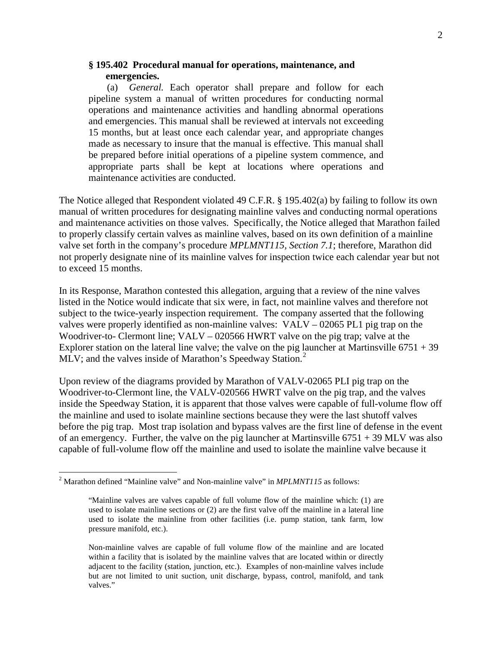#### **§ 195.402 Procedural manual for operations, maintenance, and emergencies.**

(a) *General.* Each operator shall prepare and follow for each pipeline system a manual of written procedures for conducting normal operations and maintenance activities and handling abnormal operations and emergencies. This manual shall be reviewed at intervals not exceeding 15 months, but at least once each calendar year, and appropriate changes made as necessary to insure that the manual is effective. This manual shall be prepared before initial operations of a pipeline system commence, and appropriate parts shall be kept at locations where operations and maintenance activities are conducted.

The Notice alleged that Respondent violated 49 C.F.R. § 195.402(a) by failing to follow its own manual of written procedures for designating mainline valves and conducting normal operations and maintenance activities on those valves. Specifically, the Notice alleged that Marathon failed to properly classify certain valves as mainline valves, based on its own definition of a mainline valve set forth in the company's procedure *MPLMNT115, Section 7.1*; therefore, Marathon did not properly designate nine of its mainline valves for inspection twice each calendar year but not to exceed 15 months.

In its Response, Marathon contested this allegation, arguing that a review of the nine valves listed in the Notice would indicate that six were, in fact, not mainline valves and therefore not subject to the twice-yearly inspection requirement. The company asserted that the following valves were properly identified as non-mainline valves: VALV – 02065 PL1 pig trap on the Woodriver-to- Clermont line; VALV – 020566 HWRT valve on the pig trap; valve at the Explorer station on the lateral line valve; the valve on the pig launcher at Martinsville  $6751 + 39$ MLV; and the valves inside of Marathon's Speedway Station.<sup>2</sup>

Upon review of the diagrams provided by Marathon of VALV-02065 PLI pig trap on the Woodriver-to-Clermont line, the VALV-020566 HWRT valve on the pig trap, and the valves inside the Speedway Station, it is apparent that those valves were capable of full-volume flow off the mainline and used to isolate mainline sections because they were the last shutoff valves before the pig trap. Most trap isolation and bypass valves are the first line of defense in the event of an emergency. Further, the valve on the pig launcher at Martinsville  $6751 + 39$  MLV was also capable of full-volume flow off the mainline and used to isolate the mainline valve because it

 $\overline{a}$ 

<sup>&</sup>lt;sup>2</sup> Marathon defined "Mainline valve" and Non-mainline valve" in *MPLMNT115* as follows:

<sup>&</sup>quot;Mainline valves are valves capable of full volume flow of the mainline which: (1) are used to isolate mainline sections or (2) are the first valve off the mainline in a lateral line used to isolate the mainline from other facilities (i.e. pump station, tank farm, low pressure manifold, etc.).

Non-mainline valves are capable of full volume flow of the mainline and are located within a facility that is isolated by the mainline valves that are located within or directly adjacent to the facility (station, junction, etc.). Examples of non-mainline valves include but are not limited to unit suction, unit discharge, bypass, control, manifold, and tank valves."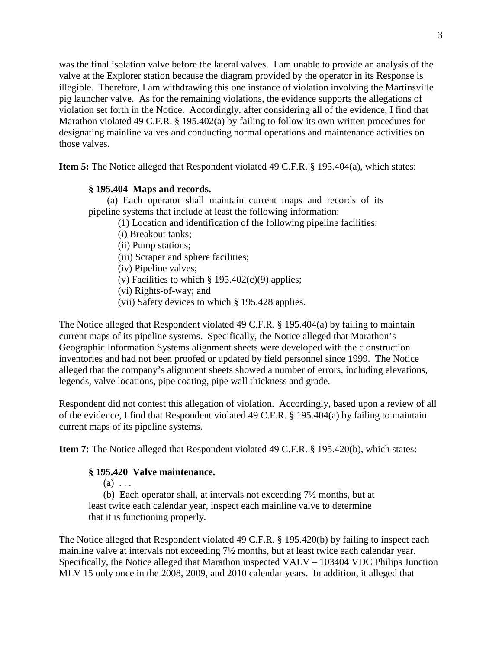3

was the final isolation valve before the lateral valves. I am unable to provide an analysis of the valve at the Explorer station because the diagram provided by the operator in its Response is illegible. Therefore, I am withdrawing this one instance of violation involving the Martinsville pig launcher valve. As for the remaining violations, the evidence supports the allegations of violation set forth in the Notice. Accordingly, after considering all of the evidence, I find that Marathon violated 49 C.F.R. § 195.402(a) by failing to follow its own written procedures for designating mainline valves and conducting normal operations and maintenance activities on those valves.

**Item 5:** The Notice alleged that Respondent violated 49 C.F.R. § 195.404(a), which states:

# **§ 195.404 Maps and records.**

(a) Each operator shall maintain current maps and records of its pipeline systems that include at least the following information:

- (1) Location and identification of the following pipeline facilities:
- (i) Breakout tanks;
- (ii) Pump stations;
- (iii) Scraper and sphere facilities;
- (iv) Pipeline valves;
- (v) Facilities to which  $\S 195.402(c)(9)$  applies;
- (vi) Rights-of-way; and
- (vii) Safety devices to which § 195.428 applies.

The Notice alleged that Respondent violated 49 C.F.R. § 195.404(a) by failing to maintain current maps of its pipeline systems. Specifically, the Notice alleged that Marathon's Geographic Information Systems alignment sheets were developed with the c onstruction inventories and had not been proofed or updated by field personnel since 1999. The Notice alleged that the company's alignment sheets showed a number of errors, including elevations, legends, valve locations, pipe coating, pipe wall thickness and grade.

Respondent did not contest this allegation of violation. Accordingly, based upon a review of all of the evidence, I find that Respondent violated 49 C.F.R. § 195.404(a) by failing to maintain current maps of its pipeline systems.

**Item 7:** The Notice alleged that Respondent violated 49 C.F.R. § 195.420(b), which states:

# **§ 195.420 Valve maintenance.**

 $(a) \ldots$ 

(b) Each operator shall, at intervals not exceeding 7½ months, but at least twice each calendar year, inspect each mainline valve to determine that it is functioning properly.

The Notice alleged that Respondent violated 49 C.F.R. § 195.420(b) by failing to inspect each mainline valve at intervals not exceeding 7½ months, but at least twice each calendar year. Specifically, the Notice alleged that Marathon inspected VALV – 103404 VDC Philips Junction MLV 15 only once in the 2008, 2009, and 2010 calendar years. In addition, it alleged that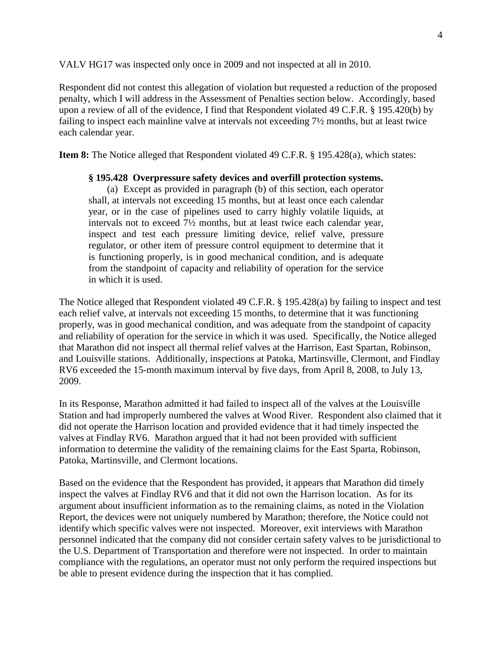VALV HG17 was inspected only once in 2009 and not inspected at all in 2010.

Respondent did not contest this allegation of violation but requested a reduction of the proposed penalty, which I will address in the Assessment of Penalties section below. Accordingly, based upon a review of all of the evidence, I find that Respondent violated 49 C.F.R. § 195.420(b) by failing to inspect each mainline valve at intervals not exceeding 7½ months, but at least twice each calendar year.

**Item 8:** The Notice alleged that Respondent violated 49 C.F.R. § 195.428(a), which states:

#### **§ 195.428 Overpressure safety devices and overfill protection systems.**

(a) Except as provided in paragraph (b) of this section, each operator shall, at intervals not exceeding 15 months, but at least once each calendar year, or in the case of pipelines used to carry highly volatile liquids, at intervals not to exceed 7½ months, but at least twice each calendar year, inspect and test each pressure limiting device, relief valve, pressure regulator, or other item of pressure control equipment to determine that it is functioning properly, is in good mechanical condition, and is adequate from the standpoint of capacity and reliability of operation for the service in which it is used.

The Notice alleged that Respondent violated 49 C.F.R. § 195.428(a) by failing to inspect and test each relief valve, at intervals not exceeding 15 months, to determine that it was functioning properly, was in good mechanical condition, and was adequate from the standpoint of capacity and reliability of operation for the service in which it was used. Specifically, the Notice alleged that Marathon did not inspect all thermal relief valves at the Harrison, East Spartan, Robinson, and Louisville stations. Additionally, inspections at Patoka, Martinsville, Clermont, and Findlay RV6 exceeded the 15-month maximum interval by five days, from April 8, 2008, to July 13, 2009.

In its Response, Marathon admitted it had failed to inspect all of the valves at the Louisville Station and had improperly numbered the valves at Wood River. Respondent also claimed that it did not operate the Harrison location and provided evidence that it had timely inspected the valves at Findlay RV6. Marathon argued that it had not been provided with sufficient information to determine the validity of the remaining claims for the East Sparta, Robinson, Patoka, Martinsville, and Clermont locations.

Based on the evidence that the Respondent has provided, it appears that Marathon did timely inspect the valves at Findlay RV6 and that it did not own the Harrison location. As for its argument about insufficient information as to the remaining claims, as noted in the Violation Report, the devices were not uniquely numbered by Marathon; therefore, the Notice could not identify which specific valves were not inspected. Moreover, exit interviews with Marathon personnel indicated that the company did not consider certain safety valves to be jurisdictional to the U.S. Department of Transportation and therefore were not inspected. In order to maintain compliance with the regulations, an operator must not only perform the required inspections but be able to present evidence during the inspection that it has complied.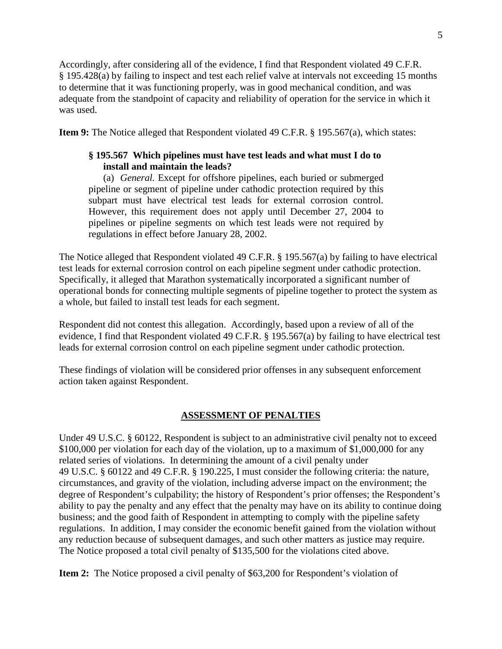Accordingly, after considering all of the evidence, I find that Respondent violated 49 C.F.R. § 195.428(a) by failing to inspect and test each relief valve at intervals not exceeding 15 months to determine that it was functioning properly, was in good mechanical condition, and was adequate from the standpoint of capacity and reliability of operation for the service in which it was used.

**Item 9:** The Notice alleged that Respondent violated 49 C.F.R. § 195.567(a), which states:

### **§ 195.567 Which pipelines must have test leads and what must I do to install and maintain the leads?**

(a) *General.* Except for offshore pipelines, each buried or submerged pipeline or segment of pipeline under cathodic protection required by this subpart must have electrical test leads for external corrosion control. However, this requirement does not apply until December 27, 2004 to pipelines or pipeline segments on which test leads were not required by regulations in effect before January 28, 2002.

The Notice alleged that Respondent violated 49 C.F.R. § 195.567(a) by failing to have electrical test leads for external corrosion control on each pipeline segment under cathodic protection. Specifically, it alleged that Marathon systematically incorporated a significant number of operational bonds for connecting multiple segments of pipeline together to protect the system as a whole, but failed to install test leads for each segment.

Respondent did not contest this allegation. Accordingly, based upon a review of all of the evidence, I find that Respondent violated 49 C.F.R. § 195.567(a) by failing to have electrical test leads for external corrosion control on each pipeline segment under cathodic protection.

These findings of violation will be considered prior offenses in any subsequent enforcement action taken against Respondent.

# **ASSESSMENT OF PENALTIES**

Under 49 U.S.C. § 60122, Respondent is subject to an administrative civil penalty not to exceed \$100,000 per violation for each day of the violation, up to a maximum of \$1,000,000 for any related series of violations. In determining the amount of a civil penalty under 49 U.S.C. § 60122 and 49 C.F.R. § 190.225, I must consider the following criteria: the nature, circumstances, and gravity of the violation, including adverse impact on the environment; the degree of Respondent's culpability; the history of Respondent's prior offenses; the Respondent's ability to pay the penalty and any effect that the penalty may have on its ability to continue doing business; and the good faith of Respondent in attempting to comply with the pipeline safety regulations. In addition, I may consider the economic benefit gained from the violation without any reduction because of subsequent damages, and such other matters as justice may require. The Notice proposed a total civil penalty of \$135,500 for the violations cited above.

**Item 2:** The Notice proposed a civil penalty of \$63,200 for Respondent's violation of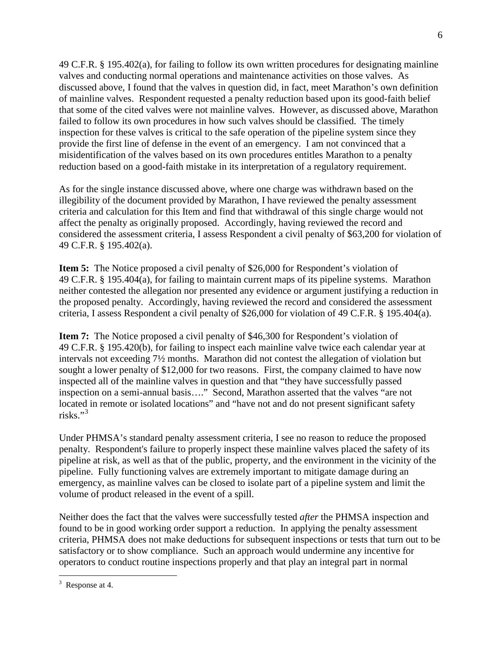49 C.F.R. § 195.402(a), for failing to follow its own written procedures for designating mainline valves and conducting normal operations and maintenance activities on those valves. As discussed above, I found that the valves in question did, in fact, meet Marathon's own definition of mainline valves. Respondent requested a penalty reduction based upon its good-faith belief that some of the cited valves were not mainline valves. However, as discussed above, Marathon failed to follow its own procedures in how such valves should be classified. The timely inspection for these valves is critical to the safe operation of the pipeline system since they provide the first line of defense in the event of an emergency. I am not convinced that a misidentification of the valves based on its own procedures entitles Marathon to a penalty reduction based on a good-faith mistake in its interpretation of a regulatory requirement.

As for the single instance discussed above, where one charge was withdrawn based on the illegibility of the document provided by Marathon, I have reviewed the penalty assessment criteria and calculation for this Item and find that withdrawal of this single charge would not affect the penalty as originally proposed. Accordingly, having reviewed the record and considered the assessment criteria, I assess Respondent a civil penalty of \$63,200 for violation of 49 C.F.R. § 195.402(a).

**Item 5:** The Notice proposed a civil penalty of \$26,000 for Respondent's violation of 49 C.F.R. § 195.404(a), for failing to maintain current maps of its pipeline systems. Marathon neither contested the allegation nor presented any evidence or argument justifying a reduction in the proposed penalty. Accordingly, having reviewed the record and considered the assessment criteria, I assess Respondent a civil penalty of \$26,000 for violation of 49 C.F.R. § 195.404(a).

**Item 7:** The Notice proposed a civil penalty of \$46,300 for Respondent's violation of 49 C.F.R. § 195.420(b), for failing to inspect each mainline valve twice each calendar year at intervals not exceeding 7½ months. Marathon did not contest the allegation of violation but sought a lower penalty of \$12,000 for two reasons. First, the company claimed to have now inspected all of the mainline valves in question and that "they have successfully passed inspection on a semi-annual basis…." Second, Marathon asserted that the valves "are not located in remote or isolated locations" and "have not and do not present significant safety risks."<sup>3</sup>

Under PHMSA's standard penalty assessment criteria, I see no reason to reduce the proposed penalty. Respondent's failure to properly inspect these mainline valves placed the safety of its pipeline at risk, as well as that of the public, property, and the environment in the vicinity of the pipeline. Fully functioning valves are extremely important to mitigate damage during an emergency, as mainline valves can be closed to isolate part of a pipeline system and limit the volume of product released in the event of a spill.

Neither does the fact that the valves were successfully tested *after* the PHMSA inspection and found to be in good working order support a reduction. In applying the penalty assessment criteria, PHMSA does not make deductions for subsequent inspections or tests that turn out to be satisfactory or to show compliance. Such an approach would undermine any incentive for operators to conduct routine inspections properly and that play an integral part in normal

 $\overline{a}$ 

 $3$  Response at 4.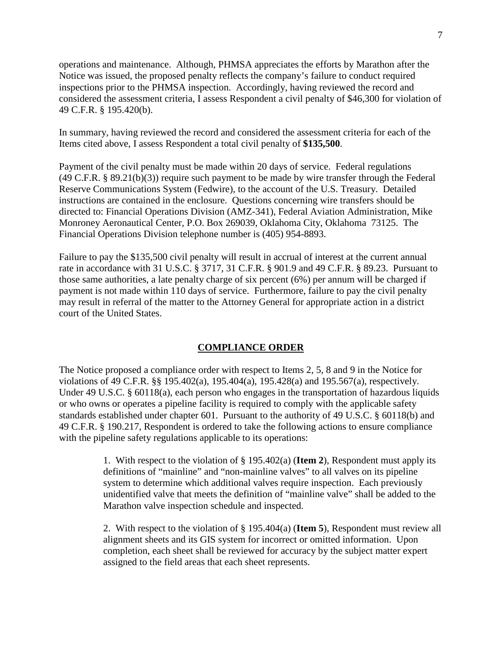operations and maintenance. Although, PHMSA appreciates the efforts by Marathon after the Notice was issued, the proposed penalty reflects the company's failure to conduct required inspections prior to the PHMSA inspection. Accordingly, having reviewed the record and considered the assessment criteria, I assess Respondent a civil penalty of \$46,300 for violation of 49 C.F.R. § 195.420(b).

In summary, having reviewed the record and considered the assessment criteria for each of the Items cited above, I assess Respondent a total civil penalty of **\$135,500**.

Payment of the civil penalty must be made within 20 days of service. Federal regulations (49 C.F.R. § 89.21(b)(3)) require such payment to be made by wire transfer through the Federal Reserve Communications System (Fedwire), to the account of the U.S. Treasury. Detailed instructions are contained in the enclosure. Questions concerning wire transfers should be directed to: Financial Operations Division (AMZ-341), Federal Aviation Administration, Mike Monroney Aeronautical Center, P.O. Box 269039, Oklahoma City, Oklahoma 73125. The Financial Operations Division telephone number is (405) 954-8893.

Failure to pay the \$135,500 civil penalty will result in accrual of interest at the current annual rate in accordance with 31 U.S.C. § 3717, 31 C.F.R. § 901.9 and 49 C.F.R. § 89.23. Pursuant to those same authorities, a late penalty charge of six percent (6%) per annum will be charged if payment is not made within 110 days of service. Furthermore, failure to pay the civil penalty may result in referral of the matter to the Attorney General for appropriate action in a district court of the United States.

### **COMPLIANCE ORDER**

The Notice proposed a compliance order with respect to Items 2, 5, 8 and 9 in the Notice for violations of 49 C.F.R. §§ 195.402(a), 195.404(a), 195.428(a) and 195.567(a), respectively. Under 49 U.S.C. § 60118(a), each person who engages in the transportation of hazardous liquids or who owns or operates a pipeline facility is required to comply with the applicable safety standards established under chapter 601. Pursuant to the authority of 49 U.S.C. § 60118(b) and 49 C.F.R. § 190.217, Respondent is ordered to take the following actions to ensure compliance with the pipeline safety regulations applicable to its operations:

> 1. With respect to the violation of § 195.402(a) (**Item 2**), Respondent must apply its definitions of "mainline" and "non-mainline valves" to all valves on its pipeline system to determine which additional valves require inspection. Each previously unidentified valve that meets the definition of "mainline valve" shall be added to the Marathon valve inspection schedule and inspected.

2. With respect to the violation of § 195.404(a) (**Item 5**), Respondent must review all alignment sheets and its GIS system for incorrect or omitted information. Upon completion, each sheet shall be reviewed for accuracy by the subject matter expert assigned to the field areas that each sheet represents.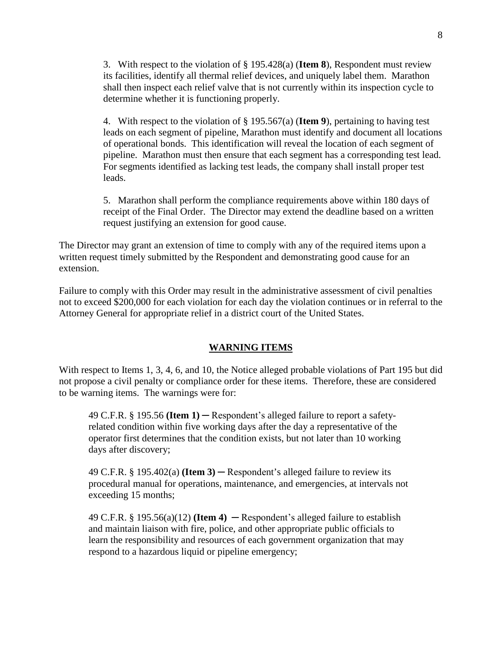3. With respect to the violation of § 195.428(a) (**Item 8**), Respondent must review its facilities, identify all thermal relief devices, and uniquely label them. Marathon shall then inspect each relief valve that is not currently within its inspection cycle to determine whether it is functioning properly.

4. With respect to the violation of § 195.567(a) (**Item 9**), pertaining to having test leads on each segment of pipeline, Marathon must identify and document all locations of operational bonds. This identification will reveal the location of each segment of pipeline. Marathon must then ensure that each segment has a corresponding test lead. For segments identified as lacking test leads, the company shall install proper test leads.

5. Marathon shall perform the compliance requirements above within 180 days of receipt of the Final Order. The Director may extend the deadline based on a written request justifying an extension for good cause.

The Director may grant an extension of time to comply with any of the required items upon a written request timely submitted by the Respondent and demonstrating good cause for an extension.

Failure to comply with this Order may result in the administrative assessment of civil penalties not to exceed \$200,000 for each violation for each day the violation continues or in referral to the Attorney General for appropriate relief in a district court of the United States.

#### **WARNING ITEMS**

With respect to Items 1, 3, 4, 6, and 10, the Notice alleged probable violations of Part 195 but did not propose a civil penalty or compliance order for these items. Therefore, these are considered to be warning items. The warnings were for:

49 C.F.R. § 195.56 **(Item 1)** ─ Respondent's alleged failure to report a safetyrelated condition within five working days after the day a representative of the operator first determines that the condition exists, but not later than 10 working days after discovery;

49 C.F.R.  $\S$  195.402(a) **(Item 3)** — Respondent's alleged failure to review its procedural manual for operations, maintenance, and emergencies, at intervals not exceeding 15 months;

49 C.F.R.  $\S 195.56(a)(12)$  (**Item 4**)  $-$  Respondent's alleged failure to establish and maintain liaison with fire, police, and other appropriate public officials to learn the responsibility and resources of each government organization that may respond to a hazardous liquid or pipeline emergency;